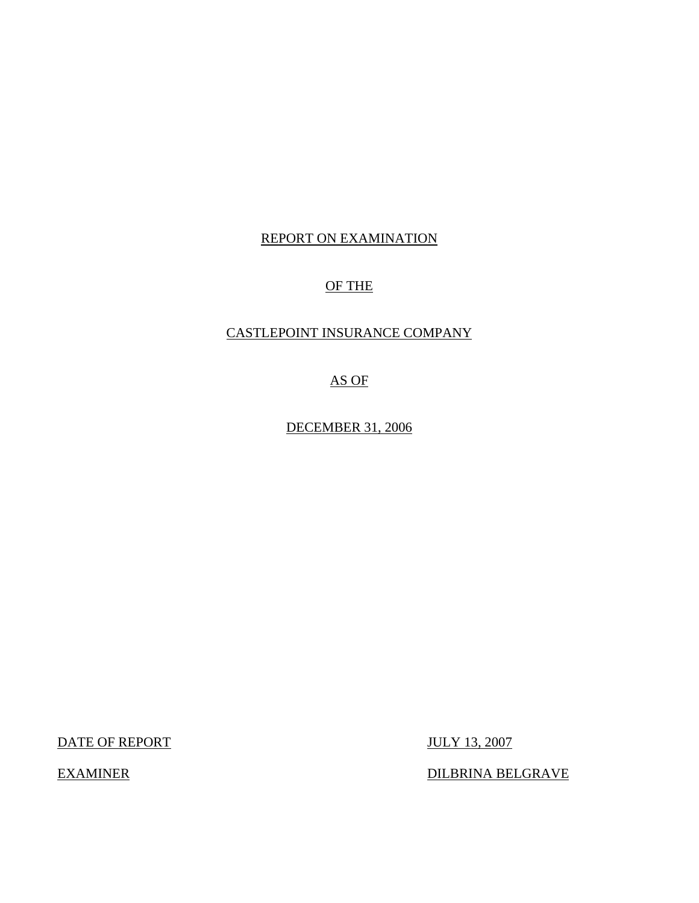## REPORT ON EXAMINATION

# OF THE

## CASTLEPOINT INSURANCE COMPANY

AS OF

DECEMBER 31, 2006

DATE OF REPORT JULY 13, 2007

EXAMINER DILBRINA BELGRAVE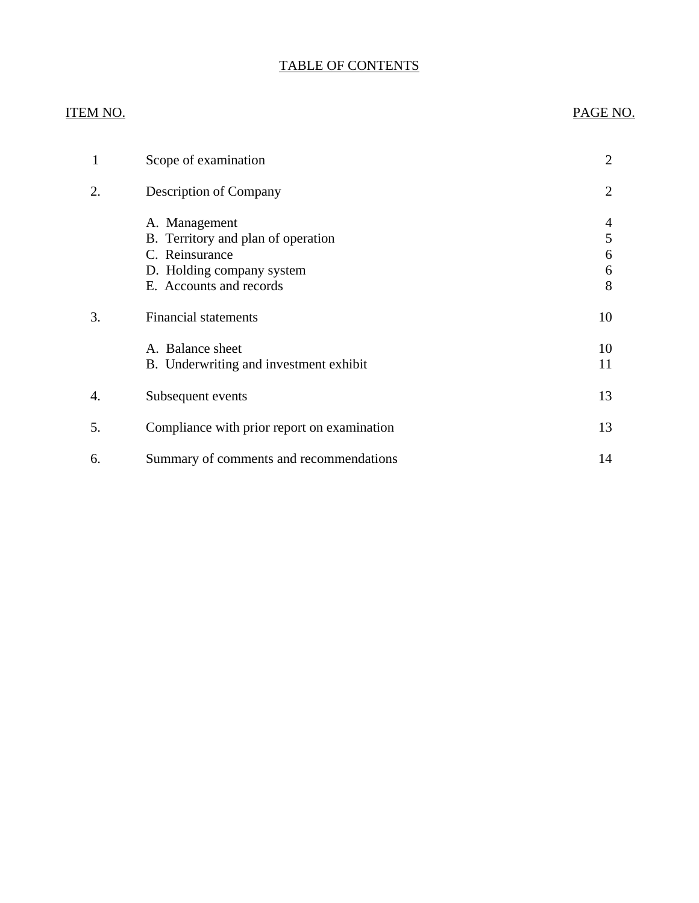# TABLE OF CONTENTS

### ITEM NO. PAGE NO.

| 1  | Scope of examination                                                                                                          | 2                     |
|----|-------------------------------------------------------------------------------------------------------------------------------|-----------------------|
| 2. | <b>Description of Company</b>                                                                                                 | 2                     |
|    | A. Management<br>B. Territory and plan of operation<br>C. Reinsurance<br>D. Holding company system<br>E. Accounts and records | 4<br>5<br>6<br>6<br>8 |
| 3. | <b>Financial statements</b>                                                                                                   | 10                    |
|    | A. Balance sheet<br>B. Underwriting and investment exhibit                                                                    | 10<br>11              |
| 4. | Subsequent events                                                                                                             | 13                    |
| 5. | Compliance with prior report on examination                                                                                   | 13                    |
| 6. | Summary of comments and recommendations                                                                                       | 14                    |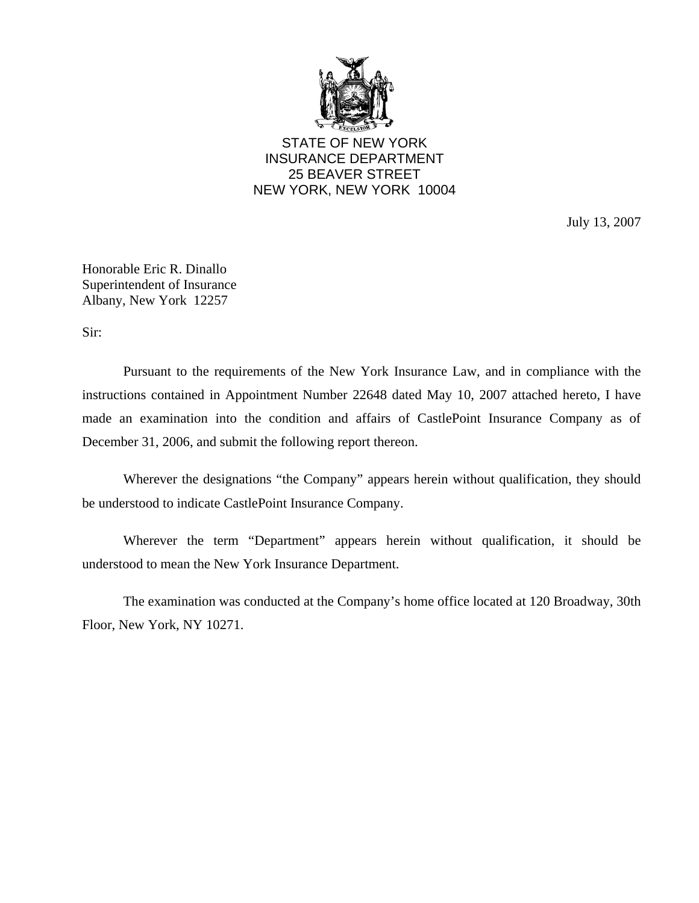

STATE OF NEW YORK INSURANCE DEPARTMENT 25 BEAVER STREET NEW YORK, NEW YORK 10004

July 13, 2007

Honorable Eric R. Dinallo Superintendent of Insurance Albany, New York 12257

Sir:

Pursuant to the requirements of the New York Insurance Law, and in compliance with the instructions contained in Appointment Number 22648 dated May 10, 2007 attached hereto, I have made an examination into the condition and affairs of CastlePoint Insurance Company as of December 31, 2006, and submit the following report thereon.

Wherever the designations "the Company" appears herein without qualification, they should be understood to indicate CastlePoint Insurance Company.

Wherever the term "Department" appears herein without qualification, it should be understood to mean the New York Insurance Department.

The examination was conducted at the Company's home office located at 120 Broadway, 30th Floor, New York, NY 10271.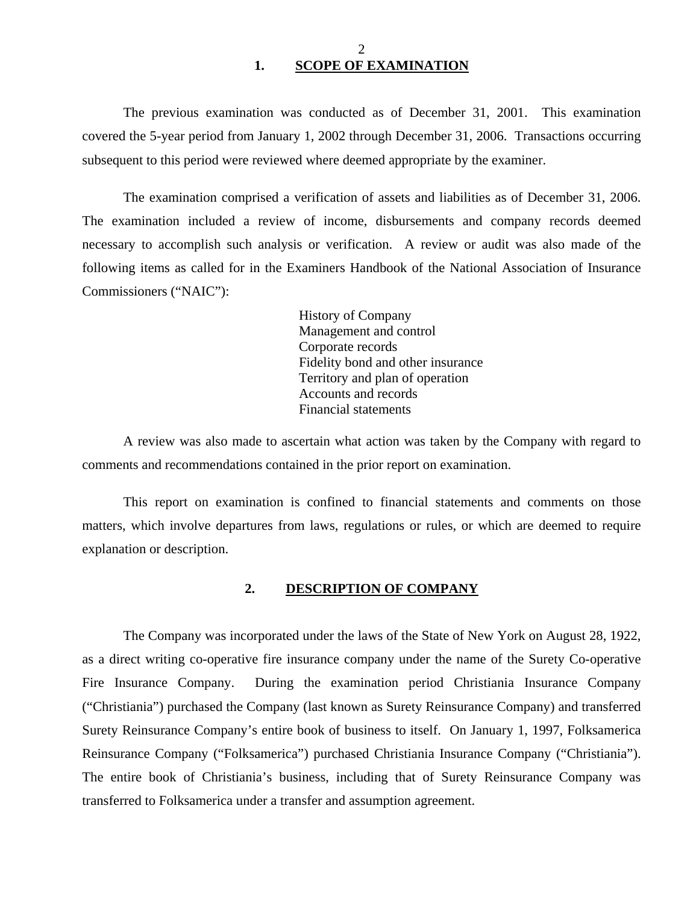<span id="page-3-0"></span>The previous examination was conducted as of December 31, 2001. This examination covered the 5-year period from January 1, 2002 through December 31, 2006. Transactions occurring subsequent to this period were reviewed where deemed appropriate by the examiner.

The examination comprised a verification of assets and liabilities as of December 31, 2006. The examination included a review of income, disbursements and company records deemed necessary to accomplish such analysis or verification. A review or audit was also made of the following items as called for in the Examiners Handbook of the National Association of Insurance Commissioners ("NAIC"):

> History of Company Management and control Corporate records Fidelity bond and other insurance Territory and plan of operation Accounts and records Financial statements

A review was also made to ascertain what action was taken by the Company with regard to comments and recommendations contained in the prior report on examination.

This report on examination is confined to financial statements and comments on those matters, which involve departures from laws, regulations or rules, or which are deemed to require explanation or description.

### **2. DESCRIPTION OF COMPANY**

The Company was incorporated under the laws of the State of New York on August 28, 1922, as a direct writing co-operative fire insurance company under the name of the Surety Co-operative Fire Insurance Company. During the examination period Christiania Insurance Company ("Christiania") purchased the Company (last known as Surety Reinsurance Company) and transferred Surety Reinsurance Company's entire book of business to itself. On January 1, 1997, Folksamerica Reinsurance Company ("Folksamerica") purchased Christiania Insurance Company ("Christiania"). The entire book of Christiania's business, including that of Surety Reinsurance Company was transferred to Folksamerica under a transfer and assumption agreement.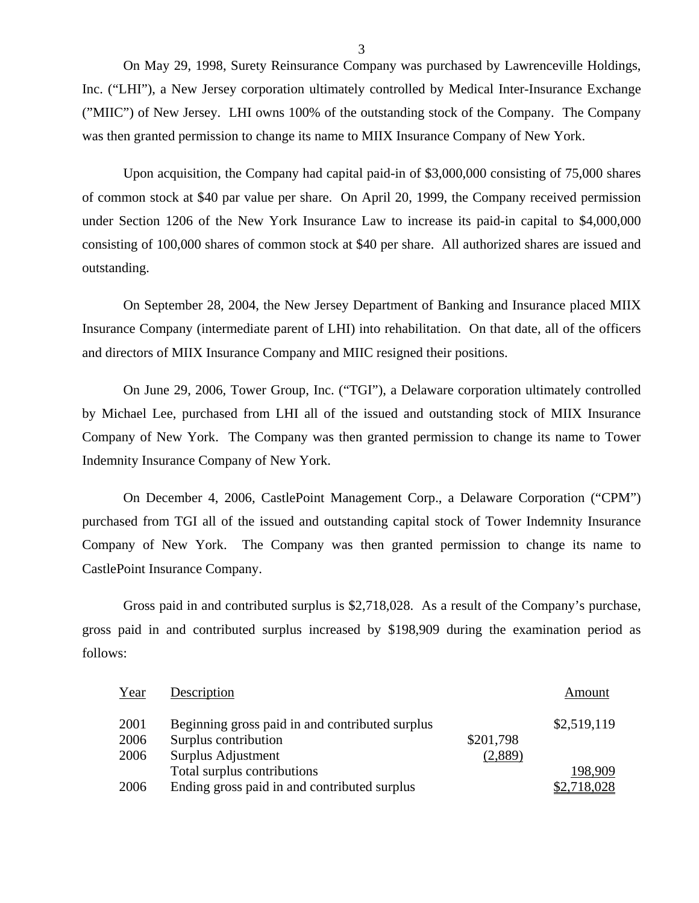On May 29, 1998, Surety Reinsurance Company was purchased by Lawrenceville Holdings, Inc. ("LHI"), a New Jersey corporation ultimately controlled by Medical Inter-Insurance Exchange ("MIIC") of New Jersey. LHI owns 100% of the outstanding stock of the Company. The Company was then granted permission to change its name to MIIX Insurance Company of New York.

Upon acquisition, the Company had capital paid-in of \$3,000,000 consisting of 75,000 shares of common stock at \$40 par value per share. On April 20, 1999, the Company received permission under Section 1206 of the New York Insurance Law to increase its paid-in capital to \$4,000,000 consisting of 100,000 shares of common stock at \$40 per share. All authorized shares are issued and outstanding.

On September 28, 2004, the New Jersey Department of Banking and Insurance placed MIIX Insurance Company (intermediate parent of LHI) into rehabilitation. On that date, all of the officers and directors of MIIX Insurance Company and MIIC resigned their positions.

On June 29, 2006, Tower Group, Inc. ("TGI"), a Delaware corporation ultimately controlled by Michael Lee, purchased from LHI all of the issued and outstanding stock of MIIX Insurance Company of New York. The Company was then granted permission to change its name to Tower Indemnity Insurance Company of New York.

On December 4, 2006, CastlePoint Management Corp., a Delaware Corporation ("CPM") purchased from TGI all of the issued and outstanding capital stock of Tower Indemnity Insurance Company of New York. The Company was then granted permission to change its name to CastlePoint Insurance Company.

Gross paid in and contributed surplus is \$2,718,028. As a result of the Company's purchase, gross paid in and contributed surplus increased by \$198,909 during the examination period as follows:

| Year | Description                                     |           | Amount      |
|------|-------------------------------------------------|-----------|-------------|
| 2001 | Beginning gross paid in and contributed surplus |           | \$2,519,119 |
| 2006 | Surplus contribution                            | \$201,798 |             |
| 2006 | Surplus Adjustment                              | (2,889)   |             |
|      | Total surplus contributions                     |           | 198,909     |
| 2006 | Ending gross paid in and contributed surplus    |           | \$2,718,028 |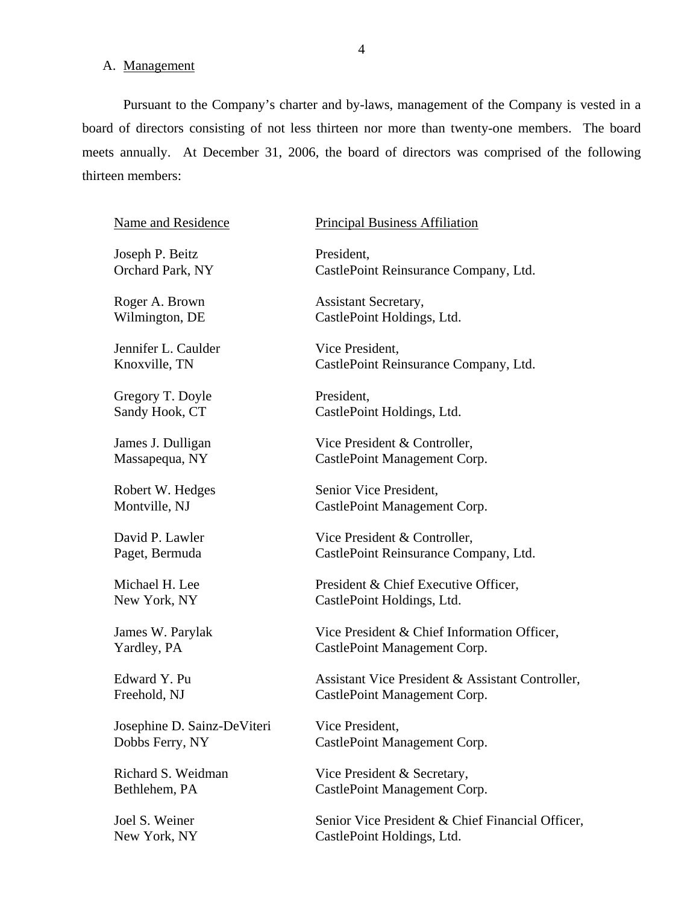### <span id="page-5-0"></span>A. Management

Pursuant to the Company's charter and by-laws, management of the Company is vested in a board of directors consisting of not less thirteen nor more than twenty-one members. The board meets annually. At December 31, 2006, the board of directors was comprised of the following thirteen members:

Name and Residence

Joseph P. Beitz Orchard Park, NY

Roger A. Brown Wilmington, DE

Jennifer L. Caulder Knoxville, TN

Gregory T. Doyle Sandy Hook, CT

James J. Dulligan Massapequa, NY

Robert W. Hedges Montville, NJ

David P. Lawler Paget, Bermuda

Michael H. Lee New York, NY

James W. Parylak Yardley, PA

Edward Y. Pu Freehold, NJ

Josephine D. Sainz-DeViteri Dobbs Ferry, NY

Richard S. Weidman Bethlehem, PA

Joel S. Weiner New York, NY

### Principal Business Affiliation

President, CastlePoint Reinsurance Company, Ltd.

Assistant Secretary, CastlePoint Holdings, Ltd.

Vice President, CastlePoint Reinsurance Company, Ltd.

President, CastlePoint Holdings, Ltd.

Vice President & Controller, CastlePoint Management Corp.

Senior Vice President, CastlePoint Management Corp.

Vice President & Controller, CastlePoint Reinsurance Company, Ltd.

President & Chief Executive Officer, CastlePoint Holdings, Ltd.

Vice President & Chief Information Officer, CastlePoint Management Corp.

Assistant Vice President & Assistant Controller, CastlePoint Management Corp.

Vice President, CastlePoint Management Corp.

Vice President & Secretary, CastlePoint Management Corp.

Senior Vice President & Chief Financial Officer, CastlePoint Holdings, Ltd.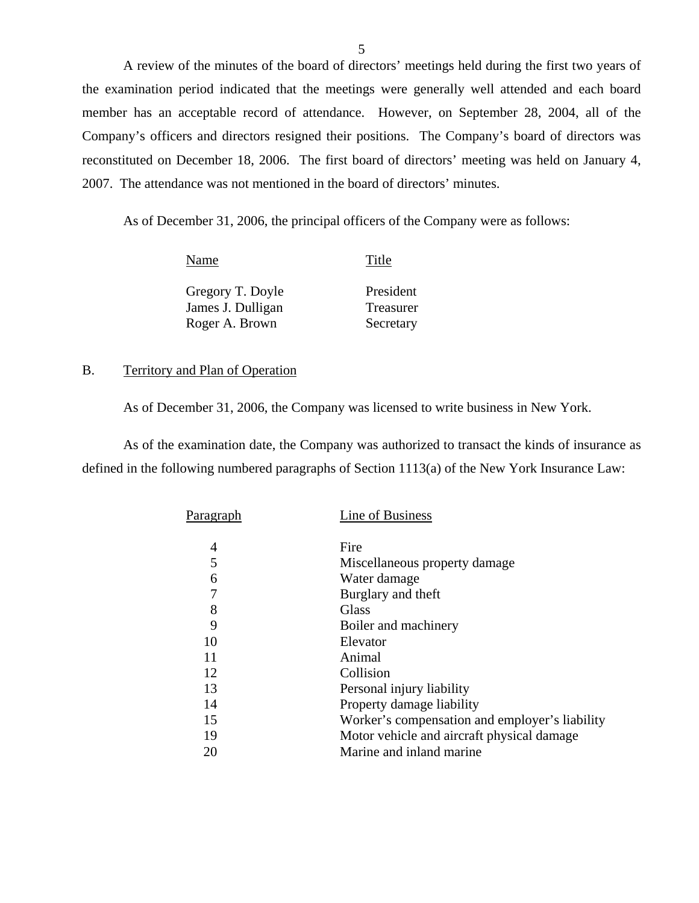A review of the minutes of the board of directors' meetings held during the first two years of the examination period indicated that the meetings were generally well attended and each board member has an acceptable record of attendance. However, on September 28, 2004, all of the Company's officers and directors resigned their positions. The Company's board of directors was reconstituted on December 18, 2006. The first board of directors' meeting was held on January 4, 2007. The attendance was not mentioned in the board of directors' minutes.

As of December 31, 2006, the principal officers of the Company were as follows:

| Name                                  | Title                  |
|---------------------------------------|------------------------|
| Gregory T. Doyle<br>James J. Dulligan | President<br>Treasurer |
| Roger A. Brown                        | Secretary              |

### B. Territory and Plan of Operation

As of December 31, 2006, the Company was licensed to write business in New York.

As of the examination date, the Company was authorized to transact the kinds of insurance as defined in the following numbered paragraphs of Section 1113(a) of the New York Insurance Law:

| Paragraph | Line of Business                               |
|-----------|------------------------------------------------|
| 4         | Fire                                           |
| 5         | Miscellaneous property damage                  |
| 6         | Water damage                                   |
| 7         | Burglary and theft                             |
| 8         | Glass                                          |
| 9         | Boiler and machinery                           |
| 10        | Elevator                                       |
| 11        | Animal                                         |
| 12        | Collision                                      |
| 13        | Personal injury liability                      |
| 14        | Property damage liability                      |
| 15        | Worker's compensation and employer's liability |
| 19        | Motor vehicle and aircraft physical damage     |
| 20        | Marine and inland marine                       |
|           |                                                |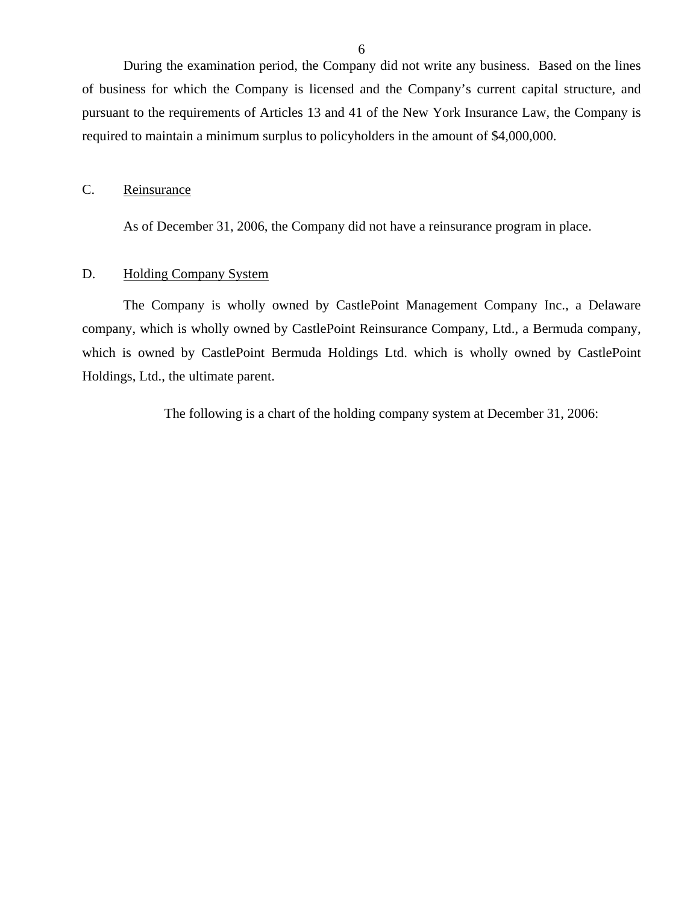<span id="page-7-0"></span>During the examination period, the Company did not write any business. Based on the lines of business for which the Company is licensed and the Company's current capital structure, and pursuant to the requirements of Articles 13 and 41 of the New York Insurance Law, the Company is required to maintain a minimum surplus to policyholders in the amount of \$4,000,000.

### C. Reinsurance

As of December 31, 2006, the Company did not have a reinsurance program in place.

### D. Holding Company System

The Company is wholly owned by CastlePoint Management Company Inc., a Delaware company, which is wholly owned by CastlePoint Reinsurance Company, Ltd., a Bermuda company, which is owned by CastlePoint Bermuda Holdings Ltd. which is wholly owned by CastlePoint Holdings, Ltd., the ultimate parent.

The following is a chart of the holding company system at December 31, 2006: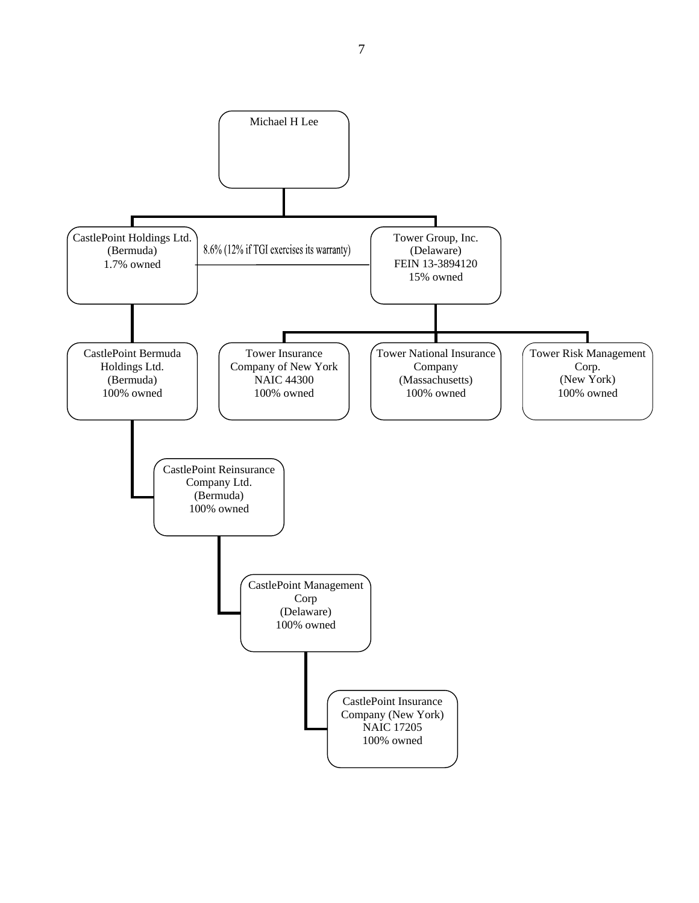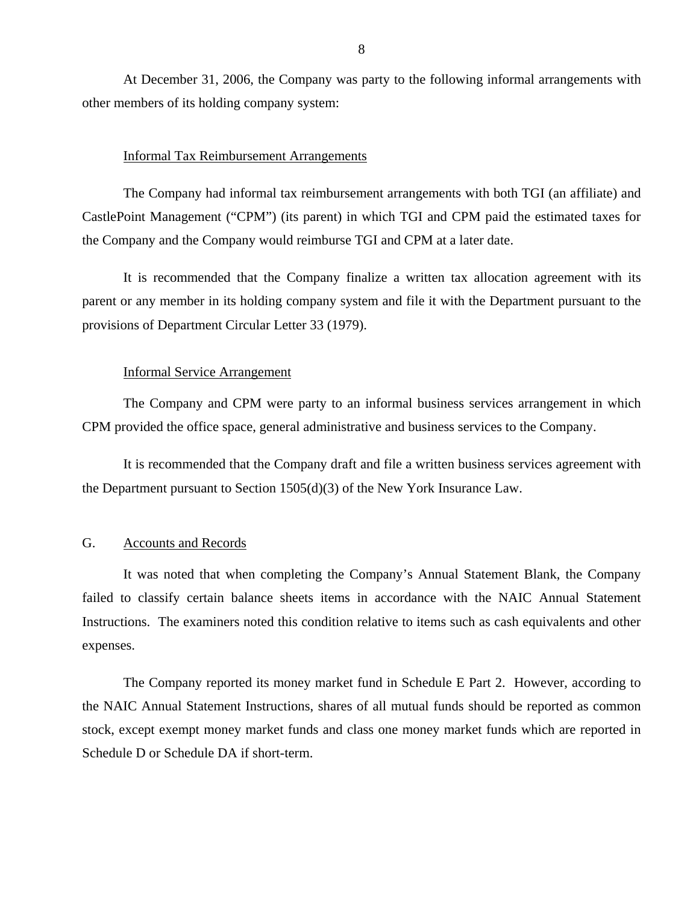<span id="page-9-0"></span>At December 31, 2006, the Company was party to the following informal arrangements with other members of its holding company system:

### Informal Tax Reimbursement Arrangements

The Company had informal tax reimbursement arrangements with both TGI (an affiliate) and CastlePoint Management ("CPM") (its parent) in which TGI and CPM paid the estimated taxes for the Company and the Company would reimburse TGI and CPM at a later date.

It is recommended that the Company finalize a written tax allocation agreement with its parent or any member in its holding company system and file it with the Department pursuant to the provisions of Department Circular Letter 33 (1979).

### Informal Service Arrangement

The Company and CPM were party to an informal business services arrangement in which CPM provided the office space, general administrative and business services to the Company.

It is recommended that the Company draft and file a written business services agreement with the Department pursuant to Section 1505(d)(3) of the New York Insurance Law.

### G. Accounts and Records

It was noted that when completing the Company's Annual Statement Blank, the Company failed to classify certain balance sheets items in accordance with the NAIC Annual Statement Instructions. The examiners noted this condition relative to items such as cash equivalents and other expenses.

The Company reported its money market fund in Schedule E Part 2. However, according to the NAIC Annual Statement Instructions, shares of all mutual funds should be reported as common stock, except exempt money market funds and class one money market funds which are reported in Schedule D or Schedule DA if short-term.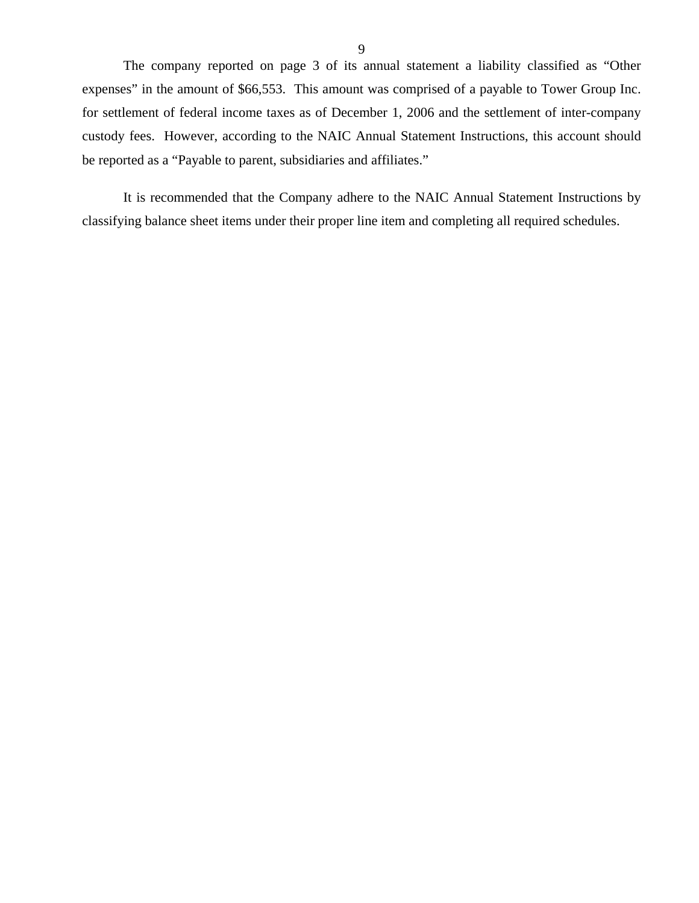The company reported on page 3 of its annual statement a liability classified as "Other expenses" in the amount of \$66,553. This amount was comprised of a payable to Tower Group Inc. for settlement of federal income taxes as of December 1, 2006 and the settlement of inter-company custody fees. However, according to the NAIC Annual Statement Instructions, this account should be reported as a "Payable to parent, subsidiaries and affiliates."

It is recommended that the Company adhere to the NAIC Annual Statement Instructions by classifying balance sheet items under their proper line item and completing all required schedules.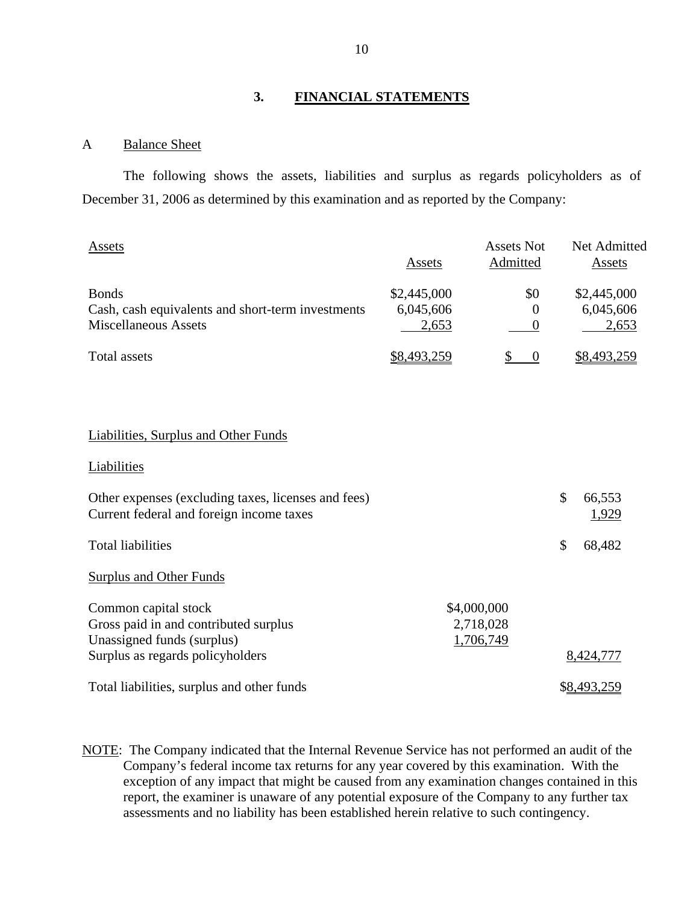### **3. FINANCIAL STATEMENTS**

### A Balance Sheet

The following shows the assets, liabilities and surplus as regards policyholders as of December 31, 2006 as determined by this examination and as reported by the Company:

| <b>Assets</b>                                                                                    | Assets                            | <b>Assets Not</b><br><b>Admitted</b>  | Net Admitted<br>Assets            |
|--------------------------------------------------------------------------------------------------|-----------------------------------|---------------------------------------|-----------------------------------|
| <b>Bonds</b><br>Cash, cash equivalents and short-term investments<br><b>Miscellaneous Assets</b> | \$2,445,000<br>6,045,606<br>2,653 | \$0<br>$\Omega$<br>0                  | \$2,445,000<br>6,045,606<br>2,653 |
| <b>Total</b> assets                                                                              | \$8,493,259                       | \$<br>$\boldsymbol{0}$                | \$8,493,259                       |
|                                                                                                  |                                   |                                       |                                   |
| <b>Liabilities, Surplus and Other Funds</b>                                                      |                                   |                                       |                                   |
| Liabilities                                                                                      |                                   |                                       |                                   |
| Other expenses (excluding taxes, licenses and fees)<br>Current federal and foreign income taxes  |                                   |                                       | \$<br>66,553<br>1,929             |
| <b>Total liabilities</b>                                                                         |                                   |                                       | \$<br>68,482                      |
| <b>Surplus and Other Funds</b>                                                                   |                                   |                                       |                                   |
| Common capital stock<br>Gross paid in and contributed surplus<br>Unassigned funds (surplus)      |                                   | \$4,000,000<br>2,718,028<br>1,706,749 |                                   |
|                                                                                                  |                                   |                                       |                                   |
| Surplus as regards policyholders<br>Total liabilities, surplus and other funds                   |                                   |                                       | 8,424,777<br>\$8,493,259          |

NOTE: The Company indicated that the Internal Revenue Service has not performed an audit of the Company's federal income tax returns for any year covered by this examination. With the exception of any impact that might be caused from any examination changes contained in this report, the examiner is unaware of any potential exposure of the Company to any further tax assessments and no liability has been established herein relative to such contingency.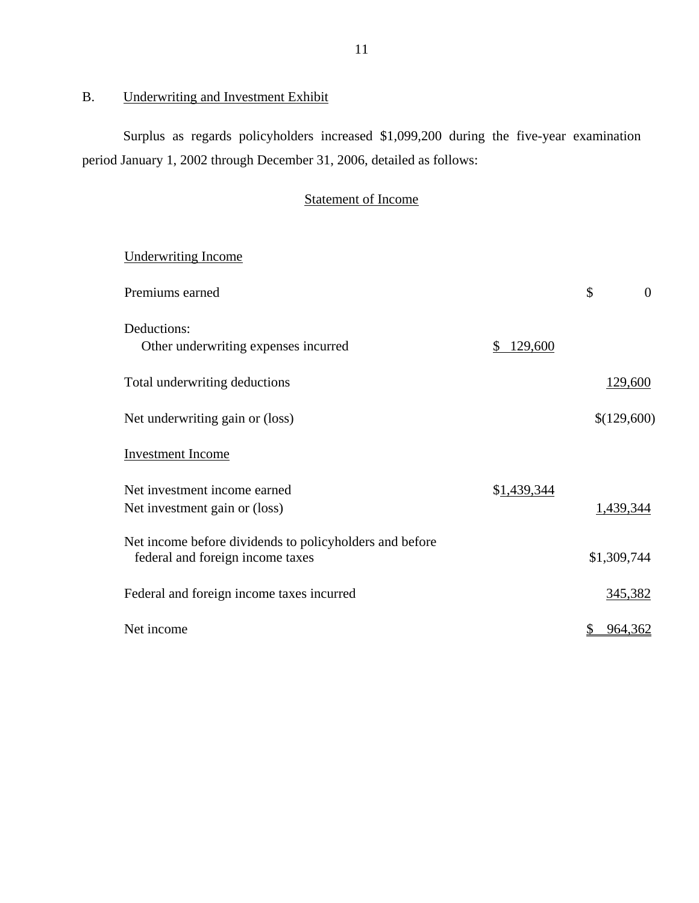# B. Underwriting and Investment Exhibit

Surplus as regards policyholders increased \$1,099,200 during the five-year examination period January 1, 2002 through December 31, 2006, detailed as follows:

# Statement of Income

| <b>Underwriting Income</b>                                                                  |               |                |
|---------------------------------------------------------------------------------------------|---------------|----------------|
| Premiums earned                                                                             |               | \$<br>$\theta$ |
| Deductions:<br>Other underwriting expenses incurred                                         | 129,600<br>S. |                |
| Total underwriting deductions                                                               |               | 129,600        |
| Net underwriting gain or (loss)                                                             |               | \$(129,600)    |
| <b>Investment Income</b>                                                                    |               |                |
| Net investment income earned<br>Net investment gain or (loss)                               | \$1,439,344   | 1,439,344      |
| Net income before dividends to policyholders and before<br>federal and foreign income taxes |               | \$1,309,744    |
| Federal and foreign income taxes incurred                                                   |               | 345,382        |
| Net income                                                                                  |               | 964,362        |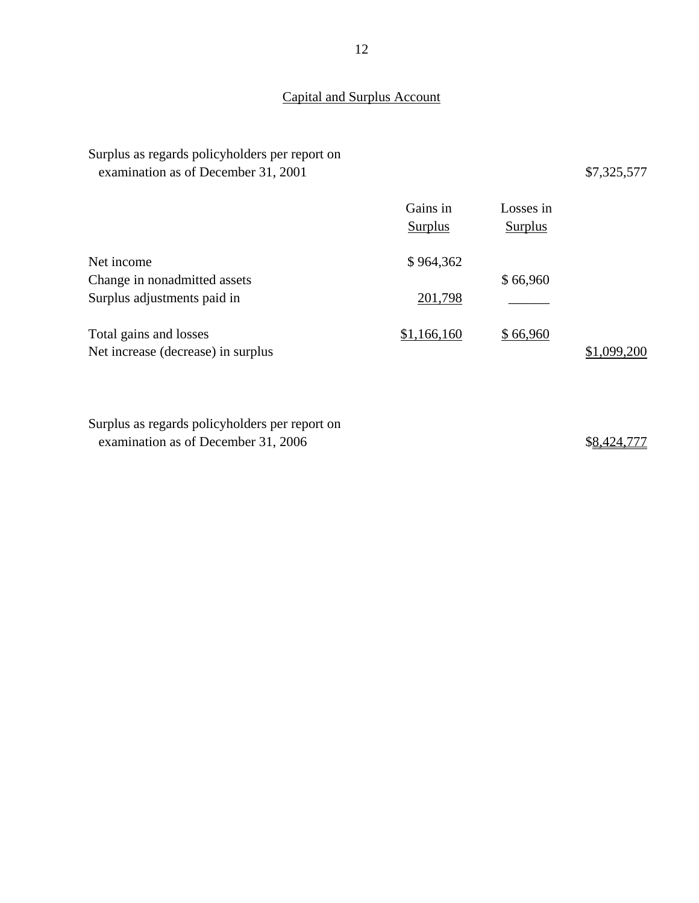# Capital and Surplus Account

| Surplus as regards policyholders per report on<br>examination as of December 31, 2001 |                            |                             | \$7,325,577 |
|---------------------------------------------------------------------------------------|----------------------------|-----------------------------|-------------|
|                                                                                       | Gains in<br><b>Surplus</b> | Losses in<br><b>Surplus</b> |             |
| Net income<br>Change in nonadmitted assets<br>Surplus adjustments paid in             | \$964,362<br>201,798       | \$66,960                    |             |
| Total gains and losses<br>Net increase (decrease) in surplus                          | \$1,166,160                | \$66,960                    | \$1,099,200 |

Surplus as regards policyholders per report on examination as of December 31, 2006  $$8,424,777$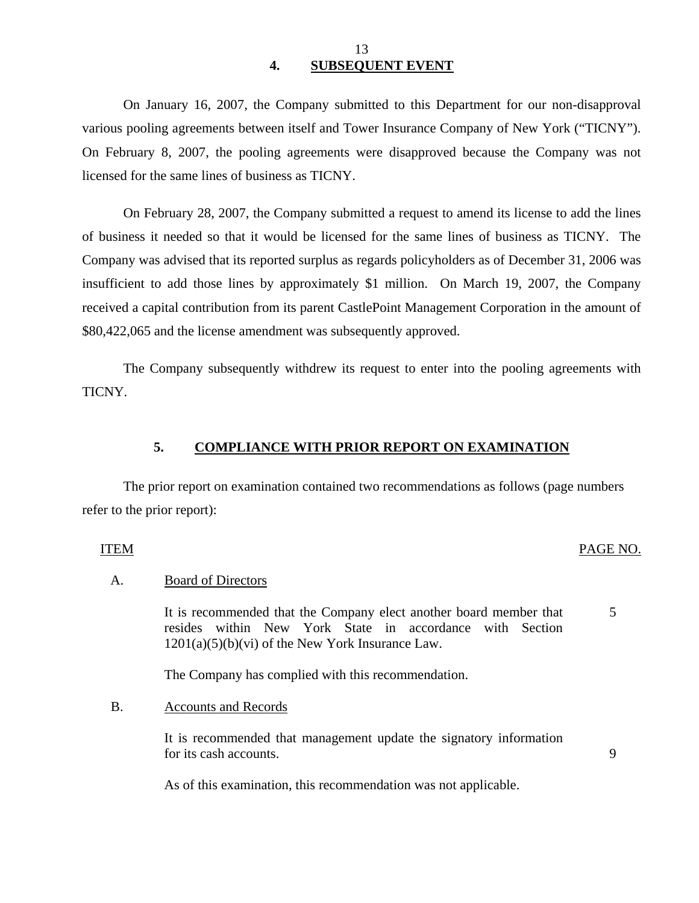### 13 **4. SUBSEQUENT EVENT**

On January 16, 2007, the Company submitted to this Department for our non-disapproval various pooling agreements between itself and Tower Insurance Company of New York ("TICNY"). On February 8, 2007, the pooling agreements were disapproved because the Company was not licensed for the same lines of business as TICNY.

On February 28, 2007, the Company submitted a request to amend its license to add the lines of business it needed so that it would be licensed for the same lines of business as TICNY. The Company was advised that its reported surplus as regards policyholders as of December 31, 2006 was insufficient to add those lines by approximately \$1 million. On March 19, 2007, the Company received a capital contribution from its parent CastlePoint Management Corporation in the amount of \$80,422,065 and the license amendment was subsequently approved.

The Company subsequently withdrew its request to enter into the pooling agreements with TICNY.

### **5. COMPLIANCE WITH PRIOR REPORT ON EXAMINATION**

The prior report on examination contained two recommendations as follows (page numbers refer to the prior report):

### ITEM PAGE NO.

5

9

### A. Board of Directors

It is recommended that the Company elect another board member that resides within New York State in accordance with Section  $1201(a)(5)(b)(vi)$  of the New York Insurance Law.

The Company has complied with this recommendation.

B. Accounts and Records

It is recommended that management update the signatory information for its cash accounts.

As of this examination, this recommendation was not applicable.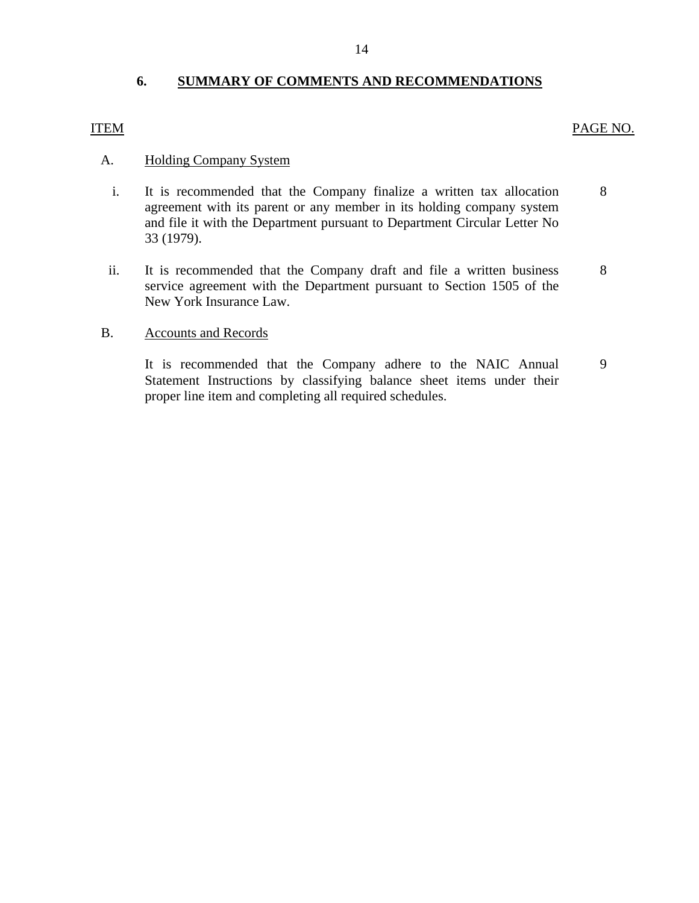# **6. SUMMARY OF COMMENTS AND RECOMMENDATIONS**

### <span id="page-15-0"></span>ITEM PAGE NO.

### A. Holding Company System

- i. It is recommended that the Company finalize a written tax allocation 8 agreement with its parent or any member in its holding company system and file it with the Department pursuant to Department Circular Letter No 33 (1979).
- ii. It is recommended that the Company draft and file a written business 8 service agreement with the Department pursuant to Section 1505 of the New York Insurance Law.

### B. Accounts and Records

It is recommended that the Company adhere to the NAIC Annual 9 Statement Instructions by classifying balance sheet items under their proper line item and completing all required schedules.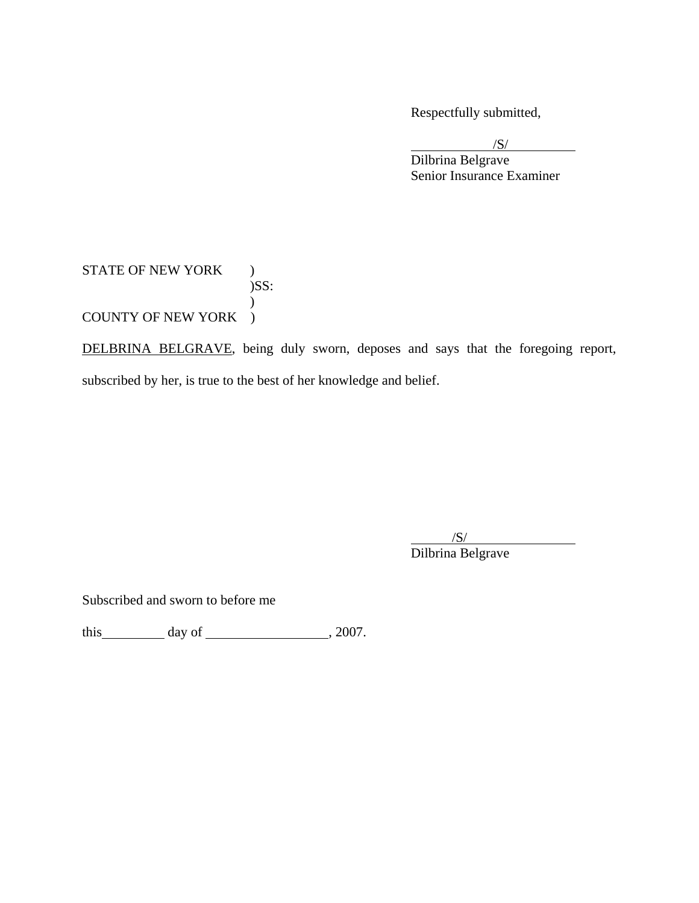Respectfully submitted,

 $\sqrt{S}$ 

 Dilbrina Belgrave Senior Insurance Examiner

### STATE OF NEW YORK ) )SS:  $\mathcal{L}$ COUNTY OF NEW YORK )

DELBRINA BELGRAVE, being duly sworn, deposes and says that the foregoing report, subscribed by her, is true to the best of her knowledge and belief.

 $\overline{\phantom{a}}$ /S/ Dilbrina Belgrave

Subscribed and sworn to before me

this  $\qquad \qquad$  day of  $\qquad \qquad$  , 2007.